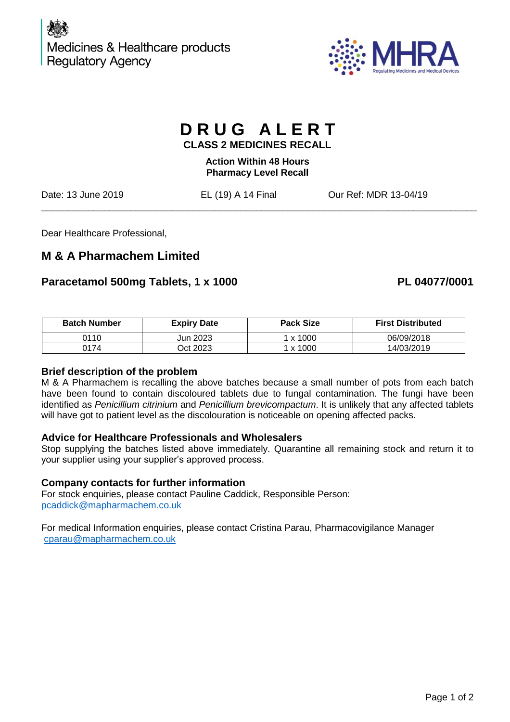

# **D R U G A L E R T**

**CLASS 2 MEDICINES RECALL**

**Action Within 48 Hours Pharmacy Level Recall**

\_\_\_\_\_\_\_\_\_\_\_\_\_\_\_\_\_\_\_\_\_\_\_\_\_\_\_\_\_\_\_\_\_\_\_\_\_\_\_\_\_\_\_\_\_\_\_\_\_\_\_\_\_\_\_\_\_\_\_\_\_\_\_\_\_\_\_\_\_\_\_\_\_\_\_\_\_\_\_\_\_\_\_

Date: 13 June 2019 EL (19) A 14 Final Our Ref: MDR 13-04/19

Dear Healthcare Professional,

# **M & A Pharmachem Limited**

# **Paracetamol 500mg Tablets, 1 x 1000 PL 04077/0001**

| <b>Batch Number</b> | <b>Expiry Date</b> | <b>Pack Size</b> | <b>First Distributed</b> |
|---------------------|--------------------|------------------|--------------------------|
| 0110                | Jun 2023           | 1 x 1000         | 06/09/2018               |
| ጋ174                | Oct 2023           | 1 x 1000         | 14/03/2019               |

## **Brief description of the problem**

M & A Pharmachem is recalling the above batches because a small number of pots from each batch have been found to contain discoloured tablets due to fungal contamination. The fungi have been identified as *Penicillium citrinium* and *Penicillium brevicompactum*. It is unlikely that any affected tablets will have got to patient level as the discolouration is noticeable on opening affected packs.

## **Advice for Healthcare Professionals and Wholesalers**

Stop supplying the batches listed above immediately. Quarantine all remaining stock and return it to your supplier using your supplier's approved process.

## **Company contacts for further information**

For stock enquiries, please contact Pauline Caddick, Responsible Person: [pcaddick@mapharmachem.co.uk](mailto:pcaddick@mapharmachem.co.uk)

For medical Information enquiries, please contact Cristina Parau, Pharmacovigilance Manager [cparau@mapharmachem.co.uk](mailto:cparau@mapharmachem.co.uk)